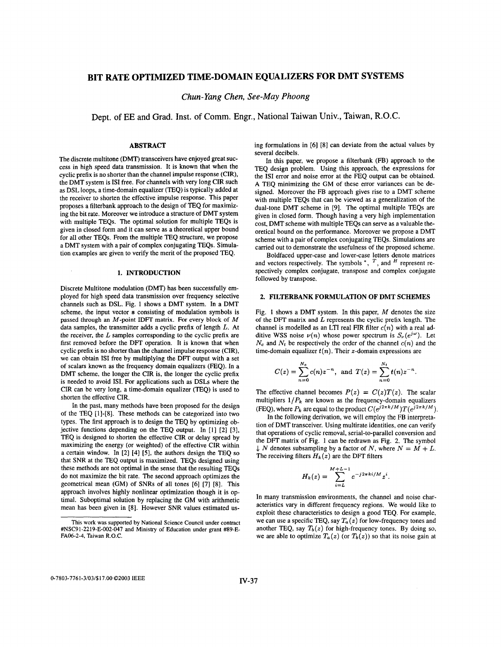# **BIT RATE OPTIMIZED TIME-DOMAIN EQUALIZERS FOR DMT SYSTEMS**

*Chun- Yang Chen, See-May Phoong* 

Dept. **of** EE and Grad. Inst. **of** Comm. Engr., National Taiwan Univ., Taiwan, R.O.C.

# ABSTRACT

The discrete multitone (DMT) transceivers have enjoyed great success in high speed data transmission. It is known that when the cyclic prefix is no shorter than the channel impulse response (CIR), the DMT system is **IS1** free. For channels with very long CIR such as DSL loops, a time-domain equalizer (TEQ) is typically added at the receiver to shorten the effective impulse response. This paper proposes a filterbank approach to the design of TEQ for maximizing the bit rate. Moreover we introduce a structure of DMT system with multiple TEQs. The optimal solution for multiple TEQs is given in closed form and it can serve as a theoretical upper bound for all other TEQs. From the multiple TEQ structure, we propose a DMT system with a pair of complex conjugating TEQs. Simulation examples are given to verify the merit of the proposed TEQ.

# **1.** INTRODUCTION

Discrete Multitone modulation (DMT) has been successfully employed for high speed data transmission over frequency selective channels such as DSL. Fig. **1** shows a DMT system. In a DMT scheme, the input vector **s** consisting of modulation symbols is passed through an M-point IDFT matrix. For every block *of* M data samples, the transmitter adds a cyclic prefix of length *L.* At the receiver, the *L* samples corresponding to the cyclic prefix are first removed before the DFT operation. It is known that when cyclic prefix is no shorter than the channel impulse response (CIR), we can obtain **ISI** free by multiplying the DFT output with a set of scalars known as the frequency domain equalizers (FEQ). In a DMT scheme, the longer the CIR is, the longer the cyclic prefix is needed to avoid ISI. For applications such as DSLs where the CIR can be very long, a time-domain equalizer (TEQ) is used to shorten the effective CIR.

In the past, many methods have been proposed for the design of the TEQ **[I]-[8].** These methods can be categorized into two types. The first approach is to design the TEQ by optimizing objective functions depending on the TEQ output. In **[I] [2] [3],**  TEQ is designed to shorten the effective CIR or delay spread by maximizing the energy (or weighted) of the effective CIR within a certain window. In **[2] [4]** *[5],* the authors design the TEQ so that SNR at the TEQ output is maximized. TEQs designed using these methods are not optimal in the sense that the resulting TEQs do not maximize the bit rate. The second approach optimizes the geometrical mean (GM) of SNRs of all tones **[6] [7] [8].** This approach involves highly nonlinear optimization though it is optimal. Suboptimal solution by replacing the GM with arithmetic mean has been given in **[8].** However SNR values estimated **us-** ing formulations in **[6]** [8] can deviate from the actual values by several decibels.

In this paper, we propose a filterbank (FB) approach to the TEQ design problem. Using this approach, the expressions for the **IS1** error and noise error at the FEQ output can be obtained. A TEQ minimizing the GM of these error variances can be designed. Moreover the FB approach gives rise to a DMT scheme with multiple TEQs that can be viewed as a generalization of the dual-tone DMT scheme in **[9].** The optimal multiple TEQs are given in closed form. Though having a very high implementation cost, DMT scheme with multiple TEQs can serve as a valuable theoretical bound on the performance. Moreover we propose a DMT scheme with a pair of complex conjugating TEQs. Simulations are carried out to demonstrate the usefulness of the proposed scheme.

Boldfaced upper-case and lower-case letters denote matrices and vectors respectively. The symbols  $\overline{r}$ ,  $\overline{r}$ , and  $\overline{r}$  represent respectively complex conjugate, transpose and complex conjugate followed by transpose.

# **2.** FILTERBANK FORMULATION OF DMT SCHEMES

Fig. I shows a DMT system. In this paper, *M* denotes the size of the **DFT** matrix and *L* represents the cyclic prefix length. The channel is modelled as an LTI real FIR filter  $c(n)$  with a real additive WSS noise  $\nu(n)$  whose power spectrum is  $S_{\nu}(e^{j\omega})$ . Let  $N_c$  and  $N_t$  be respectively the order of the channel  $c(n)$  and the time-domain equalizer  $t(n)$ . Their z-domain expressions are

$$
C(z) = \sum_{n=0}^{N_c} c(n) z^{-n}, \text{ and } T(z) = \sum_{n=0}^{N_t} t(n) z^{-n}.
$$

The effective channel becomes  $P(z) = C(z)T(z)$ . The scalar multipliers  $1/P_k$  are known as the frequency-domain equalizers (FEQ), where  $P_k$  are equal to the product  $C(e^{j2\pi k/M})T(e^{j2\pi k/M})$ .

In the following derivation, we will employ the FB interpretation of DMT transceiver. Using multirate identities, one can verify that operations of cyclic removal, serial-to-parallel conversion and the DFT matrix of Fig. **1** can be redrawn as Fig. 2. The symbol  $\downarrow$  *N* denotes subsampling by a factor of *N*, where  $N = M + L$ . The receiving filters  $H_k(z)$  are the DFT filters

$$
H_k(z) = \sum_{i=L}^{M+L-1} e^{-j2\pi ki/M} z^i.
$$

In many transmission environments, the channel and noise characteristics vary in different frequency regions. We would like to exploit these characteristics to design a good TEQ. For example, we can use a specific TEQ, say  $T_a(z)$  for low-frequency tones and another TEQ, say  $T_b(z)$  for high-frequency tones. By doing so, we are able to optimize  $T_a(z)$  (or  $T_b(z)$ ) so that its noise gain at

This work was supported by National Science Council under contract #NSC9 1-2219-E-002-047 and Ministry *of* Education under grant #89-E-**FAO6-2-4,** Taiwan R.O.C.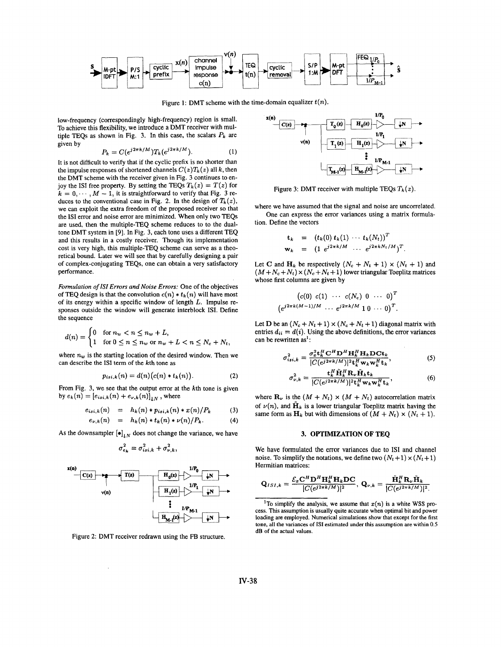

Figure 1: DMT scheme with the time-domain equalizer  $t(n)$ .

low-frequency (correspondingly high-frequency) region is small. To achieve this flexibility, we introduce a DMT receiver with multiple TEQs as shown in Fig. 3. In this case, the scalars  $P_k$  are given by

$$
P_k = C(e^{j2\pi k/M})T_k(e^{j2\pi k/M}).
$$
 (1)

It is not difficult to verify that if the cyclic prefix is no shorter than the impulse responses of shortened channels  $C(z)T_k(z)$  all k, then the DMT scheme with the receiver given in Fig. 3 continues to enjoy the **ISI** free property. By setting the TEQs  $T_k(z) = T(z)$  for  $k = 0, \dots, M - 1$ , it is straightforward to verify that Fig. 3 reduces to the conventional case in Fig. 2. In the design of  $T_k(z)$ , we can exploit the extra freedom of the proposed receiver so that the **IS1** error and noise error are minimized. When only two TEQs are used, then the multiple-TEQ scheme reduces to to the dualtone DMT system in **[9].** In Fig. 3, each tone uses a different TEQ and this results in a costly receiver. Though its implementation cost is very high, this multiple-TEQ scheme can serve as a theoretical bound. Later we will see that by carefully designing a pair of complex-conjugating TEQs, one can obtain a very satisfactory performance.

*Formulation* of *IS1 Errors and Noise Errors:* One of the objectives of TEQ design is that the convolution  $c(n) * t_k(n)$  will have most of its energy within **a** specific window of length L. Impulse responses outside the window will generate interblock ISI. Define the sequence

$$
d(n) = \begin{cases} 0 & \text{for } n_w < n \le n_w + L, \\ 1 & \text{for } 0 \le n \le n_w \text{ or } n_w + L < n \le N_c + N_t, \end{cases}
$$

where  $n_w$  is the starting location of the desired window. Then we can describe the **IS1** term of the kth tone as

$$
p_{isi,k}(n) = d(n)(c(n) * t_k(n)). \tag{2}
$$

From Fig. 3, we see that the output error at the kth tone is given by  $e_k(n) = [e_{i_1,k}(n) + e_{\nu,k}(n)]_{\downarrow N}$ , where

$$
e_{isi,k}(n) = h_k(n) * p_{isi,k}(n) * x(n)/P_k \qquad (3)
$$

$$
e_{\nu,k}(n) = h_k(n) * t_k(n) * \nu(n)/P_k.
$$
 (4)

As the downsampler  $[\bullet]_{\downarrow N}$  does not change the variance, we have

$$
\sigma_{e_k}^2 = \sigma_{isi,k}^2 + \sigma_{\nu,k}^2,
$$



Figure 2: DMT receiver redrawn using the FB structure.



Figure 3: DMT receiver with multiple TEQs  $T_k(z)$ .

where we have assumed that the signal and noise are uncorrelated. One can express the error variances using a matrix formulation. Define the vectors

$$
\begin{array}{rcl}\n\mathbf{t}_k & = & (t_k(0) \ t_k(1) \ \cdots \ t_k(N_t))^T \\
\mathbf{w}_k & = & (1 \ e^{j2\pi k/M} \ \cdots \ e^{j2\pi k/N_t/M})^T.\n\end{array}
$$

Let **C** and  $H_k$  be respectively  $(N_c + N_t + 1) \times (N_t + 1)$  and  $(M + N_c + N_t) \times (N_c + N_t + 1)$  lower triangular Toeplitz matrices whose first columns are given by

$$
(c(0) \ c(1) \ \cdots \ c(N_c) \ 0 \ \cdots \ 0)^T
$$
  
 $(e^{j2\pi k(M-1)/M} \ \cdots \ e^{j2\pi k/M} \ 1 \ 0 \ \cdots \ 0)^T$ 

Let **D** be an  $(N_c + N_t + 1) \times (N_c + N_t + 1)$  diagonal matrix with entries  $d_{ii} = d(i)$ . Using the above definitions, the error variances can be rewritten as':

$$
\sigma_{isi,k}^2 = \frac{\sigma_x^2 \mathbf{t}_k^H \mathbf{C}^H \mathbf{D}^H \mathbf{H}_k^H \mathbf{H}_k \mathbf{D} \mathbf{C} \mathbf{t}_k}{|C(e^{j2\pi k/M})|^2 \mathbf{t}_k^H \mathbf{w}_k \mathbf{w}_k^H \mathbf{t}_k},\tag{5}
$$

$$
\sigma_{\nu,k}^2 = \frac{\mathbf{t}_k^H \tilde{\mathbf{H}}_k^H \mathbf{R}_{\nu} \tilde{\mathbf{H}}_k \mathbf{t}_k}{|C(e^{j2\pi k/M})|^2 \mathbf{t}_k^H \mathbf{w}_k \mathbf{w}_k^H \mathbf{t}_k},\tag{6}
$$

where  $\mathbf{R}_{\nu}$  is the  $(M + N_t) \times (M + N_t)$  autocorrelation matrix of  $\nu(n)$ , and  $\tilde{H}_k$  is a lower triangular Toeplitz matrix having the same form as  $\mathbf{H}_k$  but with dimensions of  $(M + N_t) \times (N_t + 1)$ .

# **3. OPTIMIZATION OF TEQ**

We have formulated the error variances due to **IS1** and channel noise. To simplify the notations, we define two  $(N_t + 1) \times (N_t + 1)$ Hermitian matrices:

**REIMUAL** That is, 
$$
\mathbf{Q}_{ISI,k} = \frac{\mathcal{E}_x \mathbf{C}^H \mathbf{D}^H \mathbf{H}_k^H \mathbf{H}_k \mathbf{D} \mathbf{C}}{|C(e^{j2\pi k/M})|^2}, \ \mathbf{Q}_{\nu,k} = \frac{\tilde{\mathbf{H}}_k^H \mathbf{R}_{\nu} \tilde{\mathbf{H}}_k}{|C(e^{j2\pi k/M})|^2}.
$$
  
<sup>1</sup>To simplify the analysis, we assume that  $x(n)$  is a white WSS.

<sup>&</sup>lt;sup>1</sup>To simplify the analysis, we assume that  $x(n)$  is a white WSS process. This assumption is usually quite accurate when optimal bit and power cess. This assumption is usually quite accurate when optimal bit and power loading are employed. Numerical simulations show that except for the first tone, all the variances *of* **IS1** estimated under this assumption are within 0.5 dB of the actual values.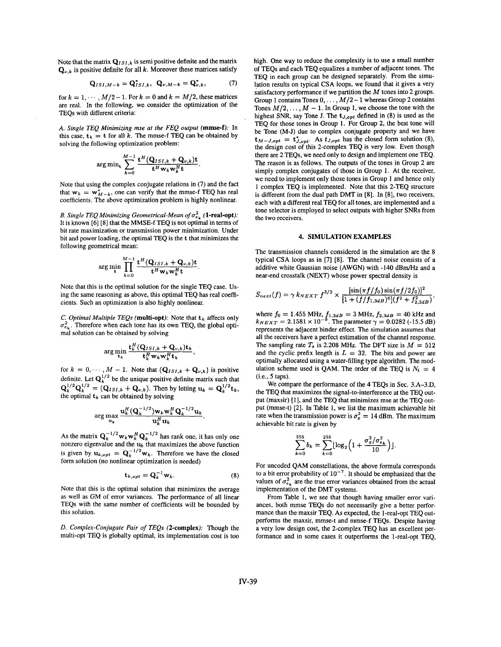Note that the matrix  $Q_{ISL,k}$  is semi positive definite and the matrix  $Q_{\nu,k}$  is positive definite for all k. Moreover these matrices satisfy

$$
\mathbf{Q}_{ISI,M-k} = \mathbf{Q}_{ISI,k}^*, \quad \mathbf{Q}_{\nu,M-k} = \mathbf{Q}_{\nu,k}^*, \tag{7}
$$

for  $k = 1, \dots, M/2 - 1$ . For  $k = 0$  and  $k = M/2$ , these matrices are real. In the following, we consider the optimization of the TEQs with different criteria:

*A. Single TEQ Minimizing mse at the FEQ output* **(mmse-f):** In this case,  $t_k = t$  for all k. The mmse-f TEQ can be obtained by solving the following optimization problem:

$$
\arg\min_{\mathbf{t}} \sum_{k=0}^{M-1} \frac{\mathbf{t}^H (\mathbf{Q}_{ISI,k} + \mathbf{Q}_{\nu,k}) \mathbf{t}}{\mathbf{t}^H \mathbf{w}_k \mathbf{w}_k^H \mathbf{t}}
$$

Note that using the complex conjugate relations in (7) and the fact that  $w_k = w_{M-k}^*$ , one can verify that the mmse-f TEQ has real coefficients. The above optimization problem is highly nonlinear.

*B. Single TEQ Minimizing Geometrical-Mean of*  $\sigma_{e_{\mu}}^2$  (1-real-opt): It is known [6] [8] that the MMSE-f TEQ is not optimal in terms of bit rate maximization or transmission power minimization. Under bit and power loading, the optimal TEQ is the *t* that minimizes the following geometrical mean:

$$
\arg\min_{\mathbf{t}} \prod_{k=0}^{M-1} \frac{\mathbf{t}^H (\mathbf{Q}_{ISI,k} + \mathbf{Q}_{\nu,k}) \mathbf{t}}{\mathbf{t}^H \mathbf{w}_k \mathbf{w}_k^H \mathbf{t}}
$$

Note that this is the optimal solution for the single TEQ case. Using the same reasoning as above, this optimal TEQ has real coefficients. Such an optimization is also highly nonlinear.

*C. Optimal Multiple TEQs (multi-opt):* Note that  $t_k$  affects only  $\sigma_{\rm{e}}^2$ . Therefore when each tone has its own TEQ, the global optimal solution can be obtained by solving

$$
\arg\min_{\mathbf{t}_k} \frac{\mathbf{t}_k^H(\mathbf{Q}_{ISI,k} + \mathbf{Q}_{\nu,k})\mathbf{t}_k}{\mathbf{t}_k^H \mathbf{w}_k \mathbf{w}_k^H \mathbf{t}_k},
$$

for  $k = 0, \dots, M - 1$ . Note that  $(Q_{ISI,k} + Q_{\nu,k})$  is positive definite. Let  $\mathbf{Q}_k^{1/2}$  be the unique positive definite matrix such that  $Q_k^{1/2} Q_k^{1/2} = (Q_{ISI,k} + Q_{\nu,k})$ . Then by letting  $u_k = Q_k^{1/2} t_k$ , the optimal  $t_k$  can be obtained by solving

$$
\arg\max_{\mathbf{u}_k}\frac{\mathbf{u}_k^H(\mathbf{Q}_k^{-1/2})\mathbf{w}_k\mathbf{w}_k^H\mathbf{Q}_k^{-1/2}\mathbf{u}_k}{\mathbf{u}_k^H\mathbf{u}_k}.
$$

As the matrix  $Q_k^{-1/2} w_k w_k^H Q_k^{-1/2}$  has rank one, it has only one nonzero eigenvalue and the *uk* that maximizes the above function is given by  $\mathbf{u}_{k,opt} = \mathbf{Q}_k^{-1/2} \mathbf{w}_k$ . Therefore we have the closed form solution (no nonlinear optimization is needed)

$$
\mathbf{t}_{k,opt} = \mathbf{Q}_k^{-1} \mathbf{w}_k. \tag{8}
$$

Note that this is the optimal solution that minimizes the average as well as GM of error variances. The performance of all linear TEQs with the same number of coefficients will be bounded by this solution.

*D. Complex-Conjugate Pair of TEQs (2-complex):* Though the multi-opt TEQ is globally optimal, its implementation cost is too

high. One way to reduce the complexity is to use a small number of TEQs and each TEQ equalizes a number of adjacent tones. The TEQ in each group can be designed separately. From the simulation results on typical CSA loops, we found that it gives a very satisfactory performance if we partition the *M* tones into 2 groups. Group 1 contains Tones  $0, \ldots, M/2-1$  whereas Group 2 contains Tones  $M/2, \ldots, M-1$ . In Group 1, we choose the tone with the highest SNR, say Tone J. The *tJ,opt* defined in (8) is used as the TEQ for those tones in Group **1.** For Group 2, the best tone will be Tone (M-J) due to complex conjugate property and we have  $t_{M-J,opt} = t_{J,opt}^*$ . As  $t_{J,opt}$  has the closed form solution (8), the design cost of this 2-complex TEQ is very low. Even though there are 2 TEQs, we need only to design and implement one TEQ. The reason is as follows. The outputs of the tones in Group 2 are simply complex conjugates of those in Group 1. At the receiver, we need to implement only those tones in Group **1** and hence only **<sup>1</sup>**complex TEQ is implemented. Note that this 2-TEQ structure is different from the dual path DMT in **[8].** In **[8],** two receivers, each with a different real TEQ for all tones, are implemented and a tone selector is employed to select outputs with higher SNRs from the two receivers.

# **4. SIMULATION EXAMPLES**

The transmission channels considered in the simulation are the 8 typical CSA loops as in **[7] [8].** The channel noise consists of a additive white Gaussian noise (AWGN) with **-140** dBm/Hz and a near-end crosstalk (NEXT) whose power spectral density is

$$
S_{next}(f) = \gamma k_{NEXT} f^{3/2} \times \frac{[\sin(\pi f/f_0) \sin(\pi f/2f_0)]^2}{[1 + (f/f_1) \sin(3f) \sin(3f/2 + f_{2,3dB}^2)]}
$$

where  $f_0 = 1.455 \text{ MHz}, f_{1,3dB} = 3 \text{ MHz}, f_{2,3dB} = 40 \text{ kHz}$  and  $k_{NEXT} = 2.1581 \times 10^{-9}$ . The parameter  $\gamma = 0.0282$  (-15.5 dB) represents the adjacent binder effect. The simulation assumes that all the receivers have a perfect estimation of the channel response. The sampling rate  $T_s$  is 2.208 MHz. The DFT size is  $M = 512$ and the cyclic prefix length is  $L = 32$ . The bits and power are optimally allocated using a water-filling type algorithm. The modulation scheme used is QAM. The order of the TEQ is  $N_t = 4$ (i.e., *5* taps).

We compare the performance of the **4** TEQs in Sec. 3.A-3.D, the TEQ that maximizes the signal-to-interference at the TEQ output (maxsir) [I], and the TEQ that minimizes mse at the TEQ output (mmse-t) [2]. In Table I, we list the maximum achievable bit rate when the transmission power is  $\sigma_x^2 = 14$  dBm. The maximum achievable bit rate is given by

$$
\sum_{k=0}^{255} b_k = \sum_{k=0}^{255} \lfloor \log_2 \left( 1 + \frac{\sigma_x^2 / \sigma_{e_k}^2}{10} \right) \rfloor.
$$

For uncoded QAM constellations, the above formula corresponds to a bit error probability of  $10^{-7}$ . It should be emphasized that the values of  $\sigma_{e_k}^2$  are the true error variances obtained from the actual implementation of the DMT systems.

From Table **I,** we see that though having smaller error variances, both mmse TEQs do not necessarily give a better performance than the maxsir TEQ. As expected, the I-real-opt TEQ outperforms the maxsir, mmse-t and mmse-f TEQs. Despite having a very low design cost, the 2-complex TEQ has an excellent performance and in some cases it outperforms the 1-real-opt TEQ,